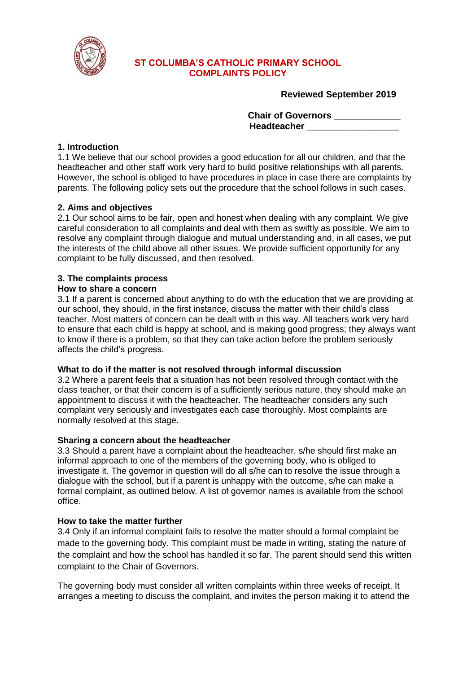

## **ST COLUMBA'S CATHOLIC PRIMARY SCHOOL COMPLAINTS POLICY**

**Reviewed September 2019**

**Chair of Governors \_\_\_\_\_\_\_\_\_\_\_\_\_ Headteacher \_\_\_\_\_\_\_\_\_\_\_\_\_\_\_\_\_\_**

### **1. Introduction**

1.1 We believe that our school provides a good education for all our children, and that the headteacher and other staff work very hard to build positive relationships with all parents. However, the school is obliged to have procedures in place in case there are complaints by parents. The following policy sets out the procedure that the school follows in such cases.

## **2. Aims and objectives**

2.1 Our school aims to be fair, open and honest when dealing with any complaint. We give careful consideration to all complaints and deal with them as swiftly as possible. We aim to resolve any complaint through dialogue and mutual understanding and, in all cases, we put the interests of the child above all other issues. We provide sufficient opportunity for any complaint to be fully discussed, and then resolved.

# **3. The complaints process**

#### **How to share a concern**

3.1 If a parent is concerned about anything to do with the education that we are providing at our school, they should, in the first instance, discuss the matter with their child's class teacher. Most matters of concern can be dealt with in this way. All teachers work very hard to ensure that each child is happy at school, and is making good progress; they always want to know if there is a problem, so that they can take action before the problem seriously affects the child's progress.

#### **What to do if the matter is not resolved through informal discussion**

3.2 Where a parent feels that a situation has not been resolved through contact with the class teacher, or that their concern is of a sufficiently serious nature, they should make an appointment to discuss it with the headteacher. The headteacher considers any such complaint very seriously and investigates each case thoroughly. Most complaints are normally resolved at this stage.

#### **Sharing a concern about the headteacher**

3.3 Should a parent have a complaint about the headteacher, s/he should first make an informal approach to one of the members of the governing body, who is obliged to investigate it. The governor in question will do all s/he can to resolve the issue through a dialogue with the school, but if a parent is unhappy with the outcome, s/he can make a formal complaint, as outlined below. A list of governor names is available from the school office.

#### **How to take the matter further**

3.4 Only if an informal complaint fails to resolve the matter should a formal complaint be made to the governing body. This complaint must be made in writing, stating the nature of the complaint and how the school has handled it so far. The parent should send this written complaint to the Chair of Governors.

The governing body must consider all written complaints within three weeks of receipt. It arranges a meeting to discuss the complaint, and invites the person making it to attend the